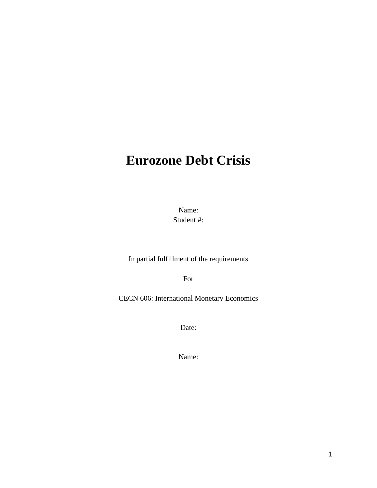# **Eurozone Debt Crisis**

Name: Student #:

In partial fulfillment of the requirements

For

CECN 606: International Monetary Economics

Date:

Name: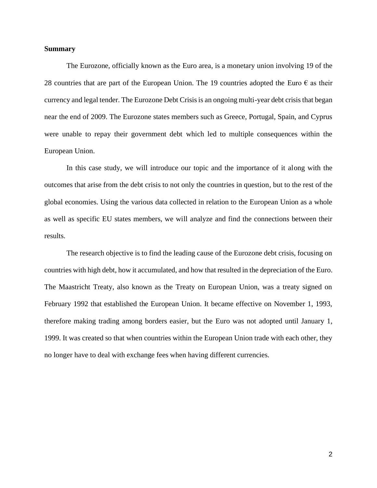#### **Summary**

The Eurozone, officially known as the Euro area, is a monetary union involving 19 of the 28 countries that are part of the European Union. The 19 countries adopted the Euro  $\epsilon$  as their currency and legal tender. The Eurozone Debt Crisis is an ongoing multi-year debt crisis that began near the end of 2009. The Eurozone states members such as Greece, Portugal, Spain, and Cyprus were unable to repay their government debt which led to multiple consequences within the European Union.

In this case study, we will introduce our topic and the importance of it along with the outcomes that arise from the debt crisis to not only the countries in question, but to the rest of the global economies. Using the various data collected in relation to the European Union as a whole as well as specific EU states members, we will analyze and find the connections between their results.

The research objective is to find the leading cause of the Eurozone debt crisis, focusing on countries with high debt, how it accumulated, and how that resulted in the depreciation of the Euro. The Maastricht Treaty, also known as the Treaty on European Union, was a treaty signed on February 1992 that established the European Union. It became effective on November 1, 1993, therefore making trading among borders easier, but the Euro was not adopted until January 1, 1999. It was created so that when countries within the European Union trade with each other, they no longer have to deal with exchange fees when having different currencies.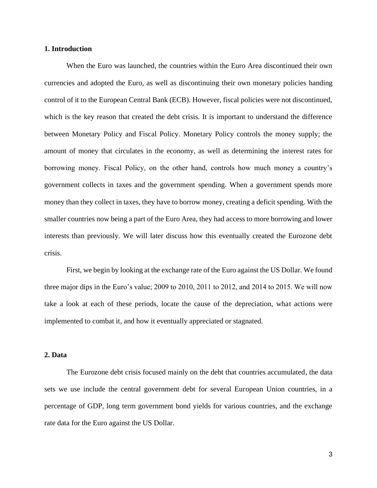#### **1. Introduction**

When the Euro was launched, the countries within the Euro Area discontinued their own currencies and adopted the Euro, as well as discontinuing their own monetary policies handing control of it to the European Central Bank (ECB). However, fiscal policies were not discontinued, which is the key reason that created the debt crisis. It is important to understand the difference between Monetary Policy and Fiscal Policy. Monetary Policy controls the money supply; the amount of money that circulates in the economy, as well as determining the interest rates for borrowing money. Fiscal Policy, on the other hand, controls how much money a country's government collects in taxes and the government spending. When a government spends more money than they collect in taxes, they have to borrow money, creating a deficit spending. With the smaller countries now being a part of the Euro Area, they had access to more borrowing and lower interests than previously. We will later discuss how this eventually created the Eurozone debt crisis.

First, we begin by looking at the exchange rate of the Euro against the US Dollar. We found three major dips in the Euro's value; 2009 to 2010, 2011 to 2012, and 2014 to 2015. We will now take a look at each of these periods, locate the cause of the depreciation, what actions were implemented to combat it, and how it eventually appreciated or stagnated.

#### **2. Data**

The Eurozone debt crisis focused mainly on the debt that countries accumulated, the data sets we use include the central government debt for several European Union countries, in a percentage of GDP, long term government bond yields for various countries, and the exchange rate data for the Euro against the US Dollar.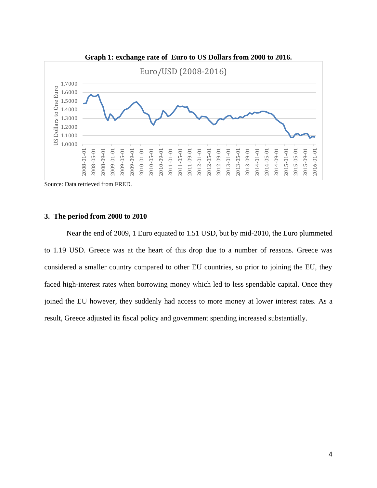

**Graph 1: exchange rate of Euro to US Dollars from 2008 to 2016.**

Source: Data retrieved from FRED.

#### **3. The period from 2008 to 2010**

Near the end of 2009, 1 Euro equated to 1.51 USD, but by mid-2010, the Euro plummeted to 1.19 USD. Greece was at the heart of this drop due to a number of reasons. Greece was considered a smaller country compared to other EU countries, so prior to joining the EU, they faced high-interest rates when borrowing money which led to less spendable capital. Once they joined the EU however, they suddenly had access to more money at lower interest rates. As a result, Greece adjusted its fiscal policy and government spending increased substantially.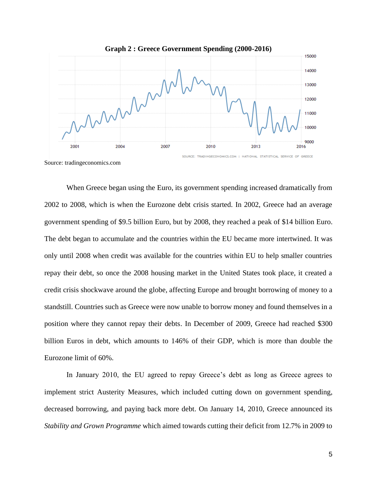

Source: tradingeconomics.com

When Greece began using the Euro, its government spending increased dramatically from 2002 to 2008, which is when the Eurozone debt crisis started. In 2002, Greece had an average government spending of \$9.5 billion Euro, but by 2008, they reached a peak of \$14 billion Euro. The debt began to accumulate and the countries within the EU became more intertwined. It was only until 2008 when credit was available for the countries within EU to help smaller countries repay their debt, so once the 2008 housing market in the United States took place, it created a credit crisis shockwave around the globe, affecting Europe and brought borrowing of money to a standstill. Countries such as Greece were now unable to borrow money and found themselves in a position where they cannot repay their debts. In December of 2009, Greece had reached \$300 billion Euros in debt, which amounts to 146% of their GDP, which is more than double the Eurozone limit of 60%.

In January 2010, the EU agreed to repay Greece's debt as long as Greece agrees to implement strict Austerity Measures, which included cutting down on government spending, decreased borrowing, and paying back more debt. On January 14, 2010, Greece announced its *Stability and Grown Programme* which aimed towards cutting their deficit from 12.7% in 2009 to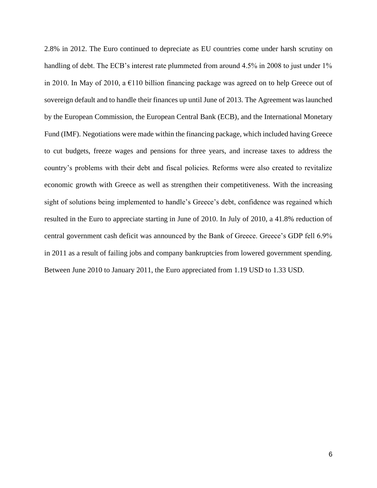2.8% in 2012. The Euro continued to depreciate as EU countries come under harsh scrutiny on handling of debt. The ECB's interest rate plummeted from around 4.5% in 2008 to just under 1% in 2010. In May of 2010, a  $E$ 110 billion financing package was agreed on to help Greece out of sovereign default and to handle their finances up until June of 2013. The Agreement was launched by the European Commission, the European Central Bank (ECB), and the International Monetary Fund (IMF). Negotiations were made within the financing package, which included having Greece to cut budgets, freeze wages and pensions for three years, and increase taxes to address the country's problems with their debt and fiscal policies. Reforms were also created to revitalize economic growth with Greece as well as strengthen their competitiveness. With the increasing sight of solutions being implemented to handle's Greece's debt, confidence was regained which resulted in the Euro to appreciate starting in June of 2010. In July of 2010, a 41.8% reduction of central government cash deficit was announced by the Bank of Greece. Greece's GDP fell 6.9% in 2011 as a result of failing jobs and company bankruptcies from lowered government spending. Between June 2010 to January 2011, the Euro appreciated from 1.19 USD to 1.33 USD.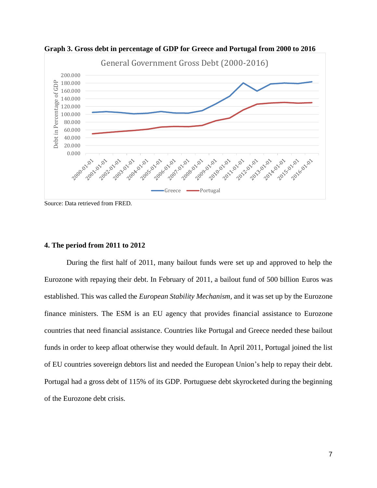

**Graph 3. Gross debt in percentage of GDP for Greece and Portugal from 2000 to 2016**

Source: Data retrieved from FRED.

# **4. The period from 2011 to 2012**

During the first half of 2011, many bailout funds were set up and approved to help the Eurozone with repaying their debt. In February of 2011, a bailout fund of 500 billion Euros was established. This was called the *European Stability Mechanism*, and it was set up by the Eurozone finance ministers. The ESM is an EU agency that provides financial assistance to Eurozone countries that need financial assistance. Countries like Portugal and Greece needed these bailout funds in order to keep afloat otherwise they would default. In April 2011, Portugal joined the list of EU countries sovereign debtors list and needed the European Union's help to repay their debt. Portugal had a gross debt of 115% of its GDP. Portuguese debt skyrocketed during the beginning of the Eurozone debt crisis.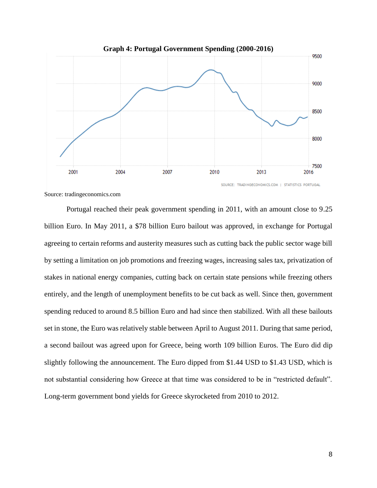

Source: tradingeconomics.com

Portugal reached their peak government spending in 2011, with an amount close to 9.25 billion Euro. In May 2011, a \$78 billion Euro bailout was approved, in exchange for Portugal agreeing to certain reforms and austerity measures such as cutting back the public sector wage bill by setting a limitation on job promotions and freezing wages, increasing sales tax, privatization of stakes in national energy companies, cutting back on certain state pensions while freezing others entirely, and the length of unemployment benefits to be cut back as well. Since then, government spending reduced to around 8.5 billion Euro and had since then stabilized. With all these bailouts set in stone, the Euro was relatively stable between April to August 2011. During that same period, a second bailout was agreed upon for Greece, being worth 109 billion Euros. The Euro did dip slightly following the announcement. The Euro dipped from \$1.44 USD to \$1.43 USD, which is not substantial considering how Greece at that time was considered to be in "restricted default". Long-term government bond yields for Greece skyrocketed from 2010 to 2012.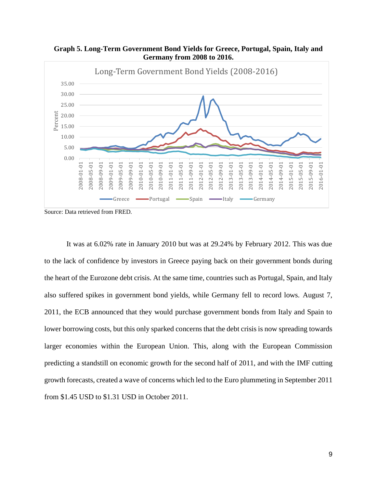

**Graph 5. Long-Term Government Bond Yields for Greece, Portugal, Spain, Italy and Germany from 2008 to 2016.**

Source: Data retrieved from FRED.

It was at 6.02% rate in January 2010 but was at 29.24% by February 2012. This was due to the lack of confidence by investors in Greece paying back on their government bonds during the heart of the Eurozone debt crisis. At the same time, countries such as Portugal, Spain, and Italy also suffered spikes in government bond yields, while Germany fell to record lows. August 7, 2011, the ECB announced that they would purchase government bonds from Italy and Spain to lower borrowing costs, but this only sparked concerns that the debt crisis is now spreading towards larger economies within the European Union. This, along with the European Commission predicting a standstill on economic growth for the second half of 2011, and with the IMF cutting growth forecasts, created a wave of concerns which led to the Euro plummeting in September 2011 from \$1.45 USD to \$1.31 USD in October 2011.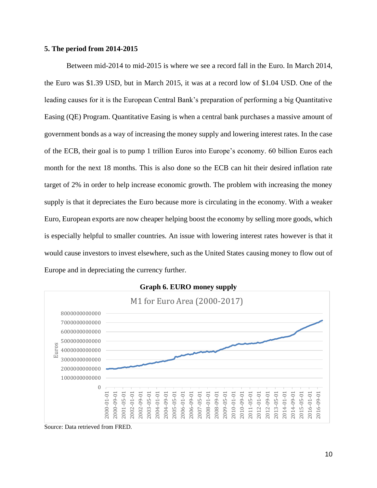### **5. The period from 2014-2015**

Between mid-2014 to mid-2015 is where we see a record fall in the Euro. In March 2014, the Euro was \$1.39 USD, but in March 2015, it was at a record low of \$1.04 USD. One of the leading causes for it is the European Central Bank's preparation of performing a big Quantitative Easing (QE) Program. Quantitative Easing is when a central bank purchases a massive amount of government bonds as a way of increasing the money supply and lowering interest rates. In the case of the ECB, their goal is to pump 1 trillion Euros into Europe's economy. 60 billion Euros each month for the next 18 months. This is also done so the ECB can hit their desired inflation rate target of 2% in order to help increase economic growth. The problem with increasing the money supply is that it depreciates the Euro because more is circulating in the economy. With a weaker Euro, European exports are now cheaper helping boost the economy by selling more goods, which is especially helpful to smaller countries. An issue with lowering interest rates however is that it would cause investors to invest elsewhere, such as the United States causing money to flow out of Europe and in depreciating the currency further.





Source: Data retrieved from FRED.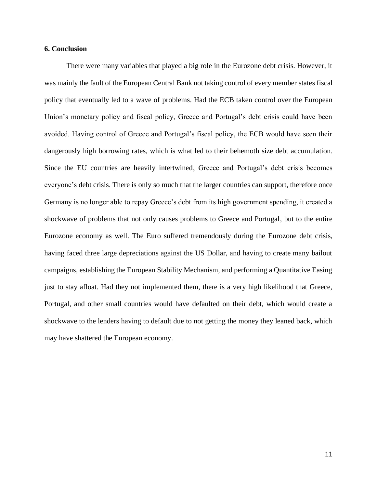## **6. Conclusion**

There were many variables that played a big role in the Eurozone debt crisis. However, it was mainly the fault of the European Central Bank not taking control of every member states fiscal policy that eventually led to a wave of problems. Had the ECB taken control over the European Union's monetary policy and fiscal policy, Greece and Portugal's debt crisis could have been avoided. Having control of Greece and Portugal's fiscal policy, the ECB would have seen their dangerously high borrowing rates, which is what led to their behemoth size debt accumulation. Since the EU countries are heavily intertwined, Greece and Portugal's debt crisis becomes everyone's debt crisis. There is only so much that the larger countries can support, therefore once Germany is no longer able to repay Greece's debt from its high government spending, it created a shockwave of problems that not only causes problems to Greece and Portugal, but to the entire Eurozone economy as well. The Euro suffered tremendously during the Eurozone debt crisis, having faced three large depreciations against the US Dollar, and having to create many bailout campaigns, establishing the European Stability Mechanism, and performing a Quantitative Easing just to stay afloat. Had they not implemented them, there is a very high likelihood that Greece, Portugal, and other small countries would have defaulted on their debt, which would create a shockwave to the lenders having to default due to not getting the money they leaned back, which may have shattered the European economy.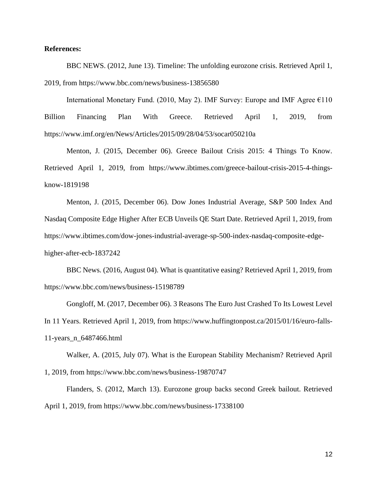## **References:**

BBC NEWS. (2012, June 13). Timeline: The unfolding eurozone crisis. Retrieved April 1, 2019, from https://www.bbc.com/news/business-13856580

International Monetary Fund. (2010, May 2). IMF Survey: Europe and IMF Agree  $\epsilon$ 110 Billion Financing Plan With Greece. Retrieved April 1, 2019, from https://www.imf.org/en/News/Articles/2015/09/28/04/53/socar050210a

Menton, J. (2015, December 06). Greece Bailout Crisis 2015: 4 Things To Know. Retrieved April 1, 2019, from https://www.ibtimes.com/greece-bailout-crisis-2015-4-thingsknow-1819198

Menton, J. (2015, December 06). Dow Jones Industrial Average, S&P 500 Index And Nasdaq Composite Edge Higher After ECB Unveils QE Start Date. Retrieved April 1, 2019, from https://www.ibtimes.com/dow-jones-industrial-average-sp-500-index-nasdaq-composite-edgehigher-after-ecb-1837242

BBC News. (2016, August 04). What is quantitative easing? Retrieved April 1, 2019, from https://www.bbc.com/news/business-15198789

Gongloff, M. (2017, December 06). 3 Reasons The Euro Just Crashed To Its Lowest Level In 11 Years. Retrieved April 1, 2019, from https://www.huffingtonpost.ca/2015/01/16/euro-falls-11-years\_n\_6487466.html

Walker, A. (2015, July 07). What is the European Stability Mechanism? Retrieved April 1, 2019, from https://www.bbc.com/news/business-19870747

Flanders, S. (2012, March 13). Eurozone group backs second Greek bailout. Retrieved April 1, 2019, from https://www.bbc.com/news/business-17338100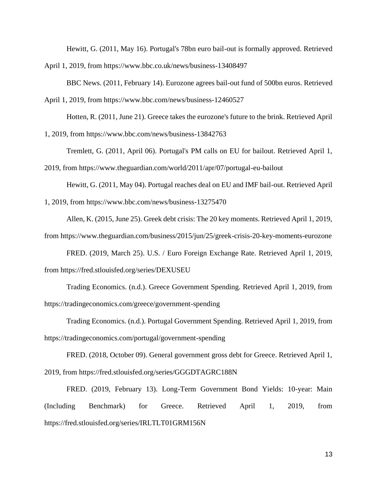Hewitt, G. (2011, May 16). Portugal's 78bn euro bail-out is formally approved. Retrieved

April 1, 2019, from https://www.bbc.co.uk/news/business-13408497

BBC News. (2011, February 14). Eurozone agrees bail-out fund of 500bn euros. Retrieved

April 1, 2019, from https://www.bbc.com/news/business-12460527

Hotten, R. (2011, June 21). Greece takes the eurozone's future to the brink. Retrieved April

1, 2019, from https://www.bbc.com/news/business-13842763

Tremlett, G. (2011, April 06). Portugal's PM calls on EU for bailout. Retrieved April 1,

2019, from https://www.theguardian.com/world/2011/apr/07/portugal-eu-bailout

Hewitt, G. (2011, May 04). Portugal reaches deal on EU and IMF bail-out. Retrieved April

1, 2019, from https://www.bbc.com/news/business-13275470

Allen, K. (2015, June 25). Greek debt crisis: The 20 key moments. Retrieved April 1, 2019,

from https://www.theguardian.com/business/2015/jun/25/greek-crisis-20-key-moments-eurozone

FRED. (2019, March 25). U.S. / Euro Foreign Exchange Rate. Retrieved April 1, 2019, from https://fred.stlouisfed.org/series/DEXUSEU

Trading Economics. (n.d.). Greece Government Spending. Retrieved April 1, 2019, from https://tradingeconomics.com/greece/government-spending

Trading Economics. (n.d.). Portugal Government Spending. Retrieved April 1, 2019, from https://tradingeconomics.com/portugal/government-spending

FRED. (2018, October 09). General government gross debt for Greece. Retrieved April 1, 2019, from https://fred.stlouisfed.org/series/GGGDTAGRC188N

FRED. (2019, February 13). Long-Term Government Bond Yields: 10-year: Main (Including Benchmark) for Greece. Retrieved April 1, 2019, from https://fred.stlouisfed.org/series/IRLTLT01GRM156N